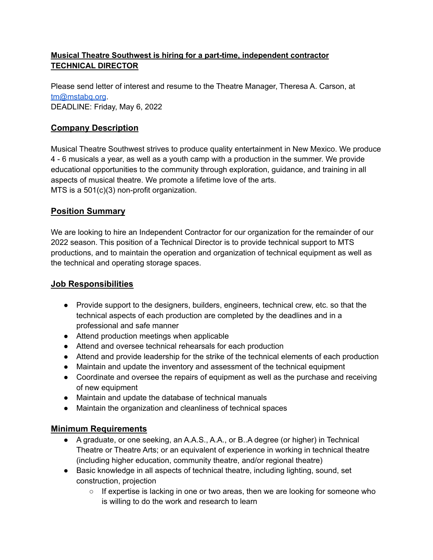### **Musical Theatre Southwest is hiring for a part-time, independent contractor TECHNICAL DIRECTOR**

Please send letter of interest and resume to the Theatre Manager, Theresa A. Carson, at [tm@mstabq.org](mailto:tm@mstabq.org). DEADLINE: Friday, May 6, 2022

# **Company Description**

Musical Theatre Southwest strives to produce quality entertainment in New Mexico. We produce 4 - 6 musicals a year, as well as a youth camp with a production in the summer. We provide educational opportunities to the community through exploration, guidance, and training in all aspects of musical theatre. We promote a lifetime love of the arts. MTS is a 501(c)(3) non-profit organization.

## **Position Summary**

We are looking to hire an Independent Contractor for our organization for the remainder of our 2022 season. This position of a Technical Director is to provide technical support to MTS productions, and to maintain the operation and organization of technical equipment as well as the technical and operating storage spaces.

## **Job Responsibilities**

- Provide support to the designers, builders, engineers, technical crew, etc. so that the technical aspects of each production are completed by the deadlines and in a professional and safe manner
- Attend production meetings when applicable
- Attend and oversee technical rehearsals for each production
- Attend and provide leadership for the strike of the technical elements of each production
- Maintain and update the inventory and assessment of the technical equipment
- Coordinate and oversee the repairs of equipment as well as the purchase and receiving of new equipment
- Maintain and update the database of technical manuals
- Maintain the organization and cleanliness of technical spaces

## **Minimum Requirements**

- A graduate, or one seeking, an A.A.S., A.A., or B. A degree (or higher) in Technical Theatre or Theatre Arts; or an equivalent of experience in working in technical theatre (including higher education, community theatre, and/or regional theatre)
- Basic knowledge in all aspects of technical theatre, including lighting, sound, set construction, projection
	- $\circ$  If expertise is lacking in one or two areas, then we are looking for someone who is willing to do the work and research to learn